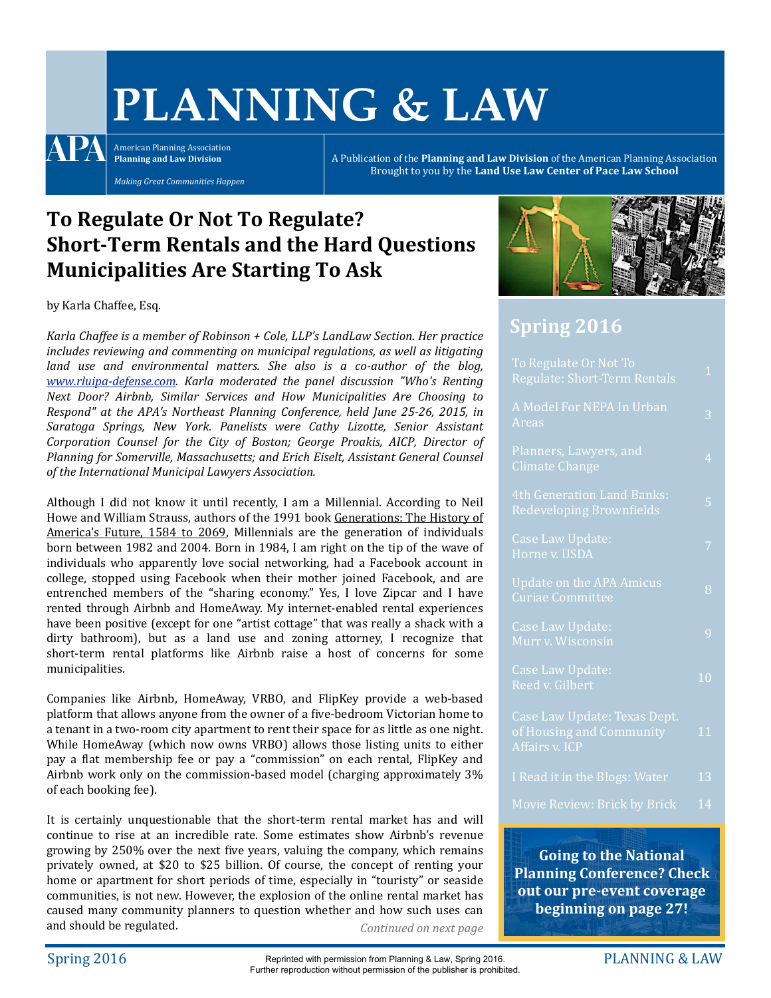# **PLANNING & LAW**

A PA American Planning Association **Planning and Law Division** 

*Making Great Communities Happen*

A Publication of the **Planning and Law Division** of the American Planning Association Brought to you by the Land Use Law Center of Pace Law School

# To Regulate Or Not To Regulate? **Short-Term Rentals and the Hard Questions Municipalities Are Starting To Ask**

by Karla Chaffee, Esq.

Karla Chaffee is a member of Robinson + Cole, LLP's LandLaw Section. Her practice *includes reviewing and commenting on municipal regulations, as well as litigating land* use and environmental matters. She also is a co-author of the blog, *[www.rluipa-defense.com.](http://www.rluipa-defense.com) Karla moderated the panel discussion "Who's Renting*  Next Door? Airbnb, Similar Services and How Municipalities Are Choosing to *Respond"* at the APA's Northeast Planning Conference, held June 25-26, 2015, in Saratoga Springs, New York. Panelists were Cathy Lizotte, Senior Assistant *Corporation Counsel for the City of Boston; George Proakis, AICP, Director of* Planning for Somerville, Massachusetts; and *Erich Eiselt, Assistant General Counsel* of the International Municipal Lawyers Association.

Although I did not know it until recently, I am a Millennial. According to Neil Howe and William Strauss, authors of the 1991 book Generations: The History of America's Future, 1584 to 2069, Millennials are the generation of individuals born between 1982 and 2004. Born in 1984, I am right on the tip of the wave of individuals who apparently love social networking, had a Facebook account in college, stopped using Facebook when their mother joined Facebook, and are entrenched members of the "sharing economy." Yes, I love Zipcar and I have rented through Airbnb and HomeAway. My internet-enabled rental experiences have been positive (except for one "artist cottage" that was really a shack with a dirty bathroom), but as a land use and zoning attorney, I recognize that short-term rental platforms like Airbnb raise a host of concerns for some municipalities. 

Companies like Airbnb, HomeAway, VRBO, and FlipKey provide a web-based platform that allows anyone from the owner of a five-bedroom Victorian home to a tenant in a two-room city apartment to rent their space for as little as one night. While HomeAway (which now owns VRBO) allows those listing units to either pay a flat membership fee or pay a "commission" on each rental, FlipKey and Airbnb work only on the commission-based model (charging approximately  $3\%$ ) of each booking fee).

It is certainly unquestionable that the short-term rental market has and will continue to rise at an incredible rate. Some estimates show Airbnb's revenue growing by 250% over the next five years, valuing the company, which remains privately owned, at \$20 to \$25 billion. Of course, the concept of renting your home or apartment for short periods of time, especially in "touristy" or seaside communities, is not new. However, the explosion of the online rental market has caused many community planners to question whether and how such uses can and should be regulated. *Continued on next page* 



## **Spring 2016**

| To Regulate Or Not To<br>Regulate: Short-Term Rentals                      | $\mathbf{1}$   |
|----------------------------------------------------------------------------|----------------|
| A Model For NEPA In Urban<br>Areas                                         | 3              |
| Planners, Lawyers, and<br><b>Climate Change</b>                            | $\overline{4}$ |
| 4th Generation Land Banks:<br>Redeveloping Brownfields                     | 5              |
| Case Law Update:<br>Horne v. USDA                                          | 7              |
| <b>Update on the APA Amicus</b><br>Curiae Committee                        | 8              |
| Case Law Update:<br>Murr v. Wisco <u>nsin</u>                              | 9              |
| Case Law Update:<br>Reed v. Gilbert                                        | 1 <sub>0</sub> |
| Case Law Update: Texas Dept.<br>of Housing and Community<br>Affairs v. ICP | 11             |
| I Read it in the Blogs: Water                                              | 13             |
| Movie Review: Brick by Brick                                               | 14             |

**Going to the National Planning Conference? Check out our pre-event coverage beginning on page 27!**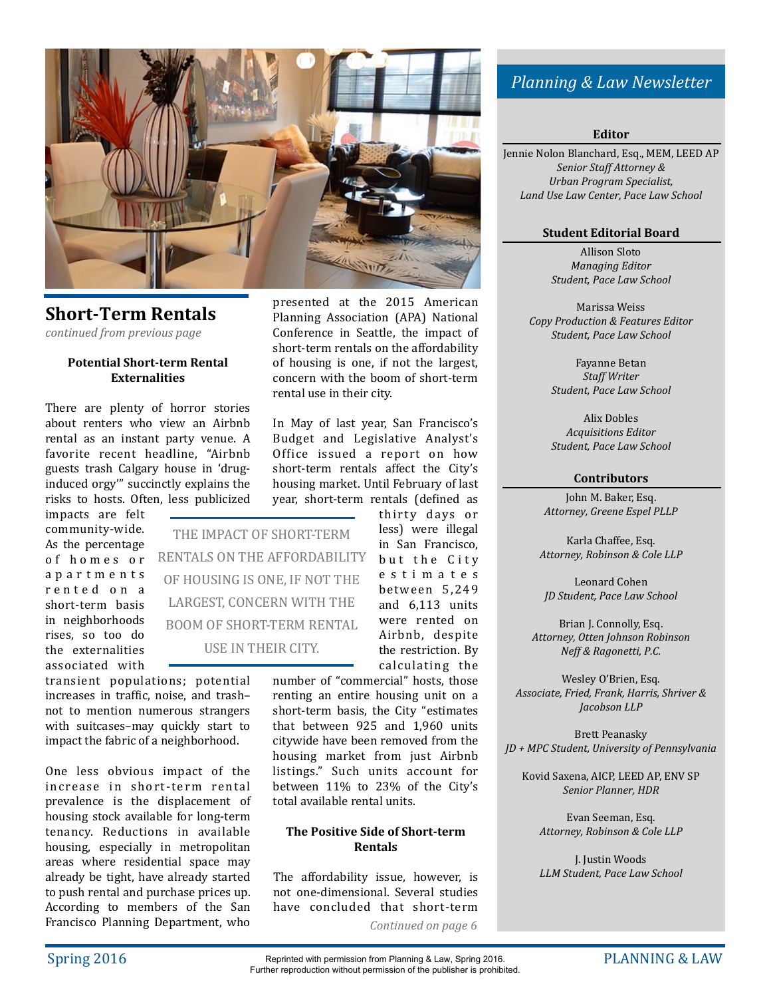

## **Short-Term Rentals**

*continued from previous page*

#### **Potential Short-term Rental Externalities**

There are plenty of horror stories about renters who view an Airbnb rental as an instant party venue. A favorite recent headline, "Airbnb guests trash Calgary house in 'druginduced orgy" succinctly explains the risks to hosts. Often, less publicized

impacts are felt community-wide. As the percentage of homes or a p a r t m e n t s r e n t e dona short-term basis in neighborhoods rises, so too do the externalities associated with 

transient populations; potential increases in traffic, noise, and trashnot to mention numerous strangers with suitcases-may quickly start to impact the fabric of a neighborhood.

One less obvious impact of the increase in short-term rental prevalence is the displacement of housing stock available for long-term tenancy. Reductions in available housing, especially in metropolitan areas where residential space may already be tight, have already started to push rental and purchase prices up. According to members of the San Francisco Planning Department, who

presented at the 2015 American Planning Association (APA) National Conference in Seattle, the impact of short-term rentals on the affordability of housing is one, if not the largest. concern with the boom of short-term rental use in their city.

In May of last year, San Francisco's Budget and Legislative Analyst's Office issued a report on how short-term rentals affect the City's housing market. Until February of last year, short-term rentals (defined as

THE IMPACT OF SHORT-TERM RENTALS ON THE AFFORDABILITY OF HOUSING IS ONE, IF NOT THE LARGEST, CONCERN WITH THE BOOM OF SHORT-TERM RENTAL USE IN THEIR CITY.

thirty days or less) were illegal in San Francisco, but the City e s t i m a t e s be tween 5 ,249 and  $6,113$  units were rented on Airbnb, despite the restriction. By calculating the

number of "commercial" hosts, those renting an entire housing unit on a short-term basis, the City "estimates that between 925 and 1.960 units citywide have been removed from the housing market from just Airbnb listings." Such units account for between 11% to 23% of the City's total available rental units.

#### **The Positive Side of Short-term Rentals**

The affordability issue, however, is not one-dimensional. Several studies have concluded that short-term

Continued on page 6

## *Planning & Law Newsletter*

**Editor**

Jennie Nolon Blanchard, Esq., MEM, LEED AP *Senior Staff Attorney & Urban Program Specialist, Land Use Law Center, Pace Law School*

## **Student Editorial Board**

Allison Sloto *Managing Editor Student, Pace Law School*

Marissa Weiss *Copy Production & Features Editor Student, Pace Law School*

> Fayanne Betan *Staff Writer Student, Pace Law School*

> Alix Dobles *Acquisitions Editor Student, Pace Law School*

#### **Contributors**

John M. Baker, Esq. *Attorney, Greene Espel PLLP*

Karla Chaffee, Esq. *Attorney, Robinson & Cole LLP*

Leonard Cohen *JD Student, Pace Law School*

Brian J. Connolly, Esq. *Attorney, Otten Johnson Robinson Neff & Ragonetti, P.C.*

Wesley O'Brien, Esq. *Associate, Fried, Frank, Harris, Shriver & Jacobson LLP*

**Brett Peanasky** *JD + MPC Student, University of Pennsylvania*

Kovid Saxena, AICP, LEED AP, ENV SP *Senior Planner, HDR*

Evan Seeman, Esq. **Attorney, Robinson & Cole LLP** 

**J.** Justin Woods *LLM Student, Pace Law School*